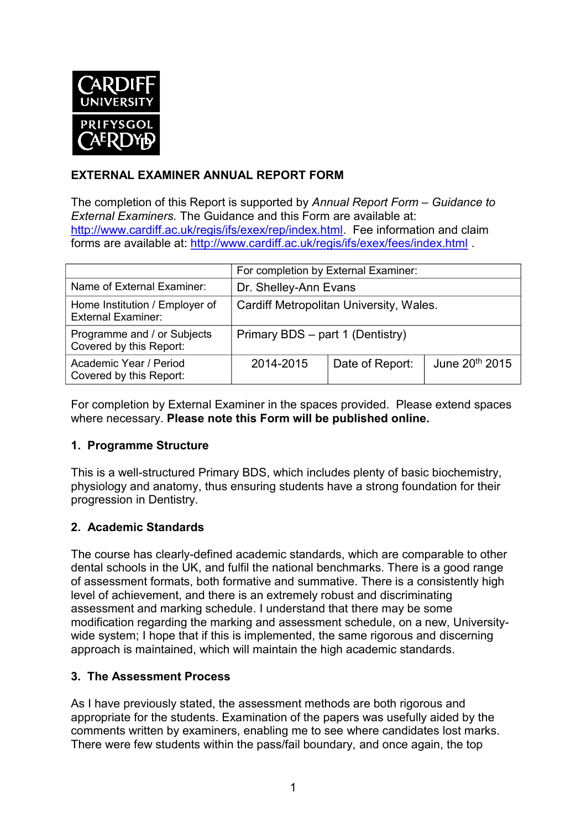

## **EXTERNAL EXAMINER ANNUAL REPORT FORM**

The completion of this Report is supported by *Annual Report Form – Guidance to External Examiners.* The Guidance and this Form are available at: [http://www.cardiff.ac.uk/regis/ifs/exex/rep/index.html.](http://www.cardiff.ac.uk/regis/ifs/exex/rep/index.html) Fee information and claim forms are available at:<http://www.cardiff.ac.uk/regis/ifs/exex/fees/index.html>.

|                                                             | For completion by External Examiner:    |                 |                            |  |
|-------------------------------------------------------------|-----------------------------------------|-----------------|----------------------------|--|
| Name of External Examiner:                                  | Dr. Shelley-Ann Evans                   |                 |                            |  |
| Home Institution / Employer of<br><b>External Examiner:</b> | Cardiff Metropolitan University, Wales. |                 |                            |  |
| Programme and / or Subjects<br>Covered by this Report:      | Primary BDS - part 1 (Dentistry)        |                 |                            |  |
| Academic Year / Period<br>Covered by this Report:           | 2014-2015                               | Date of Report: | June 20 <sup>th</sup> 2015 |  |

For completion by External Examiner in the spaces provided. Please extend spaces where necessary. **Please note this Form will be published online.**

## **1. Programme Structure**

This is a well-structured Primary BDS, which includes plenty of basic biochemistry, physiology and anatomy, thus ensuring students have a strong foundation for their progression in Dentistry.

## **2. Academic Standards**

The course has clearly-defined academic standards, which are comparable to other dental schools in the UK, and fulfil the national benchmarks. There is a good range of assessment formats, both formative and summative. There is a consistently high level of achievement, and there is an extremely robust and discriminating assessment and marking schedule. I understand that there may be some modification regarding the marking and assessment schedule, on a new, Universitywide system; I hope that if this is implemented, the same rigorous and discerning approach is maintained, which will maintain the high academic standards.

#### **3. The Assessment Process**

As I have previously stated, the assessment methods are both rigorous and appropriate for the students. Examination of the papers was usefully aided by the comments written by examiners, enabling me to see where candidates lost marks. There were few students within the pass/fail boundary, and once again, the top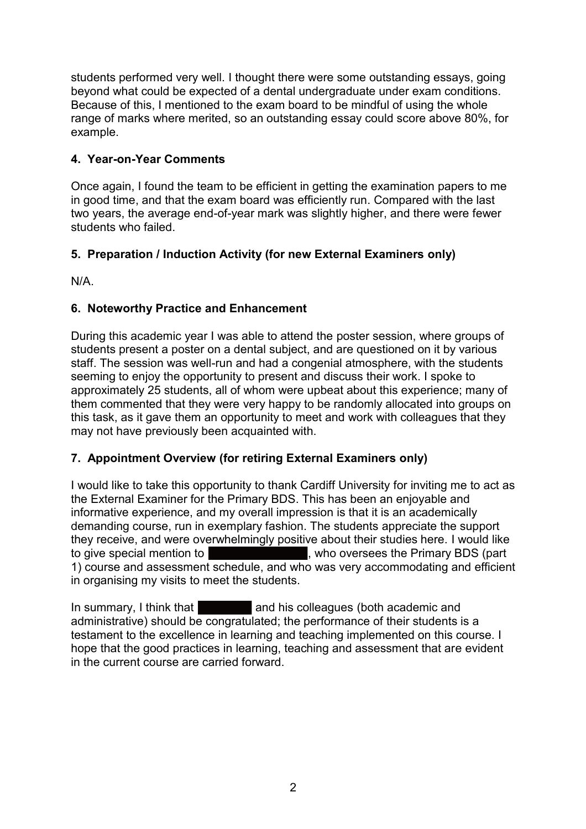students performed very well. I thought there were some outstanding essays, going beyond what could be expected of a dental undergraduate under exam conditions. Because of this, I mentioned to the exam board to be mindful of using the whole range of marks where merited, so an outstanding essay could score above 80%, for example.

# **4. Year-on-Year Comments**

Once again, I found the team to be efficient in getting the examination papers to me in good time, and that the exam board was efficiently run. Compared with the last two years, the average end-of-year mark was slightly higher, and there were fewer students who failed.

# **5. Preparation / Induction Activity (for new External Examiners only)**

N/A.

# **6. Noteworthy Practice and Enhancement**

During this academic year I was able to attend the poster session, where groups of students present a poster on a dental subject, and are questioned on it by various staff. The session was well-run and had a congenial atmosphere, with the students seeming to enjoy the opportunity to present and discuss their work. I spoke to approximately 25 students, all of whom were upbeat about this experience; many of them commented that they were very happy to be randomly allocated into groups on this task, as it gave them an opportunity to meet and work with colleagues that they may not have previously been acquainted with.

## **7. Appointment Overview (for retiring External Examiners only)**

I would like to take this opportunity to thank Cardiff University for inviting me to act as the External Examiner for the Primary BDS. This has been an enjoyable and informative experience, and my overall impression is that it is an academically demanding course, run in exemplary fashion. The students appreciate the support they receive, and were overwhelmingly positive about their studies here. I would like to give special mention to **the set of the set of the Second**, who oversees the Primary BDS (part 1) course and assessment schedule, and who was very accommodating and efficient in organising my visits to meet the students.

In summary, I think that and his colleagues (both academic and administrative) should be congratulated; the performance of their students is a testament to the excellence in learning and teaching implemented on this course. I hope that the good practices in learning, teaching and assessment that are evident in the current course are carried forward.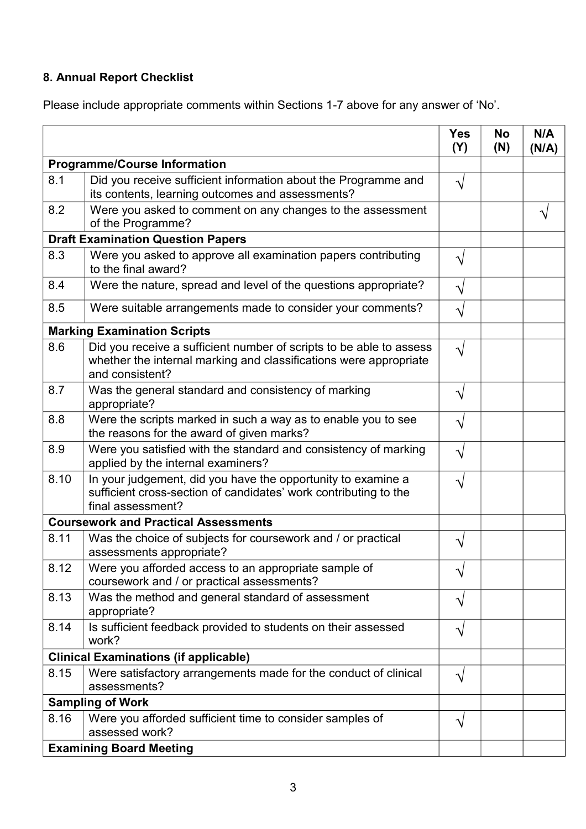# **8. Annual Report Checklist**

Please include appropriate comments within Sections 1-7 above for any answer of 'No'.

|                                              |                                                                                                                                                             | <b>Yes</b><br>(Y)     | <b>No</b><br>(N) | N/A<br>(N/A) |
|----------------------------------------------|-------------------------------------------------------------------------------------------------------------------------------------------------------------|-----------------------|------------------|--------------|
| <b>Programme/Course Information</b>          |                                                                                                                                                             |                       |                  |              |
| 8.1                                          | Did you receive sufficient information about the Programme and<br>its contents, learning outcomes and assessments?                                          | V                     |                  |              |
| 8.2                                          | Were you asked to comment on any changes to the assessment<br>of the Programme?                                                                             |                       |                  |              |
| <b>Draft Examination Question Papers</b>     |                                                                                                                                                             |                       |                  |              |
| 8.3                                          | Were you asked to approve all examination papers contributing<br>to the final award?                                                                        | ٦                     |                  |              |
| 8.4                                          | Were the nature, spread and level of the questions appropriate?                                                                                             |                       |                  |              |
| 8.5                                          | Were suitable arrangements made to consider your comments?                                                                                                  | V                     |                  |              |
| <b>Marking Examination Scripts</b>           |                                                                                                                                                             |                       |                  |              |
| 8.6                                          | Did you receive a sufficient number of scripts to be able to assess<br>whether the internal marking and classifications were appropriate<br>and consistent? | $\mathsf{\hat{v}}$    |                  |              |
| 8.7                                          | Was the general standard and consistency of marking<br>appropriate?                                                                                         | V                     |                  |              |
| 8.8                                          | Were the scripts marked in such a way as to enable you to see<br>the reasons for the award of given marks?                                                  | V                     |                  |              |
| 8.9                                          | Were you satisfied with the standard and consistency of marking<br>applied by the internal examiners?                                                       | V                     |                  |              |
| 8.10                                         | In your judgement, did you have the opportunity to examine a<br>sufficient cross-section of candidates' work contributing to the<br>final assessment?       | ٦                     |                  |              |
| <b>Coursework and Practical Assessments</b>  |                                                                                                                                                             |                       |                  |              |
| 8.11                                         | Was the choice of subjects for coursework and / or practical<br>assessments appropriate?                                                                    |                       |                  |              |
| 8.12                                         | Were you afforded access to an appropriate sample of<br>coursework and / or practical assessments?                                                          | V                     |                  |              |
| 8.13                                         | Was the method and general standard of assessment<br>appropriate?                                                                                           | V                     |                  |              |
| 8.14                                         | Is sufficient feedback provided to students on their assessed<br>work?                                                                                      | $\boldsymbol{\gamma}$ |                  |              |
| <b>Clinical Examinations (if applicable)</b> |                                                                                                                                                             |                       |                  |              |
| 8.15                                         | Were satisfactory arrangements made for the conduct of clinical<br>assessments?                                                                             | $\boldsymbol{\gamma}$ |                  |              |
| <b>Sampling of Work</b>                      |                                                                                                                                                             |                       |                  |              |
| 8.16                                         | Were you afforded sufficient time to consider samples of<br>assessed work?                                                                                  | $\boldsymbol{\gamma}$ |                  |              |
|                                              | <b>Examining Board Meeting</b>                                                                                                                              |                       |                  |              |